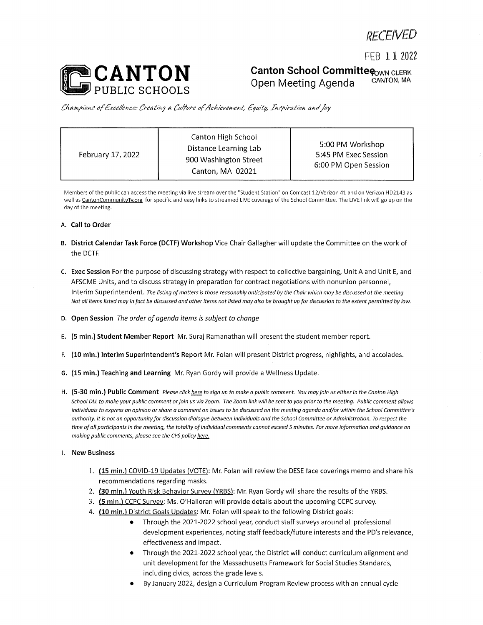FEB 1 1 2022



**Canton School Committe CONN CLERK**<br>
Chon Mosting Agonda CANTON, MA Open Meeting Agenda

*CkMvpiohS' offxce//ence: feeatihg <sup>a</sup> (fu/fre affc/ie>/e^eht, fruity, ThCf/rat/Oh ahc/Joy*

| February 17, 2022 | Canton High School<br>Distance Learning Lab<br>900 Washington Street<br>Canton, MA 02021 | 5:00 PM Workshop<br>5:45 PM Exec Session<br>6:00 PM Open Session |
|-------------------|------------------------------------------------------------------------------------------|------------------------------------------------------------------|
|-------------------|------------------------------------------------------------------------------------------|------------------------------------------------------------------|

Members of the public can access the meeting via live stream over the "Student Station" on Comcast 12/Verizon 41 and on Verizon HD2143 as well as CantonCommunitvTv.org for specific and easy links to streamed LIVE coverage of the School Committee. The LIVE link will go up on the day of the meeting.

## **A. Call to Order**

- **B. District Calendar Task Force (DCTF) Workshop** Vice Chair Gallagher will update the Committee on the work of the DCTF.
- **C. Exec Session** For the purpose of discussing strategy with respect to collective bargaining, Unit A and Unit E, and AFSCME Units, and to discuss strategy in preparation for contract negotiations with nonunion personnel, Interim Superintendent. The listing of matters is those reasonably anticipated by the Chair which may be discussed at the meeting. Not all items listed may in fact be discussed and other items not listed may also be brought up for discussion to the extent permitted by law.
- **D. Open Session** *The order of agenda items is subject to change*
- E. **(5 min.) Student Member Report** Mr. Suraj Ramanathan will present the student member report.
- **F. (10 min.) Interim Superintendent's Report** Mr. Folan will present District progress, highlights, and accolades.
- **G. (15 min.) Teaching and Learning** Mr. Ryan Gordy will provide a Wellness Update.
- H. (5-30 min.) Public Comment Please click here to sign up to make a public comment. You may join us either in the Canton High School DLL to make your public comment or join us via Zoom. The Zoom link will be sent to you prior to the meeting. Public comment allows individuals to express an opinion or share a comment on issues to be discussed on the meeting agenda and/or within the School Committee's authority. It is not an opportunity for discussion dialogue between individuals and the School Committee or Administration. To respect the time of all participants in the meeting, the totality of individual comments cannot exceed 5 minutes. For more information and guidance on *making public comments, please see the CPS policy here.*
- **I. New Business**
	- 1. **(15 min.)** COVID-19 Updates (VOTE): Mr. Folan will review the DESE face coverings memo and share his recommendations regarding masks.
	- 2. **(30 min.)** Youth Risk Behavior Survey (YRBS): Mr. Ryan Gordy will share the results of the YRBS.
	- 3. **(5 min.)** CCPC Survey: Ms. O'Halloran will provide details about the upcoming CCPC survey.
	- 4. **(10 min.)** District Goals Updates: Mr. Folan will speak to the following District goals:
		- Through the 2021-2022 school year, conduct staff surveys around all professional development experiences, noting staff feedback/future interests and the PD's relevance, effectiveness and impact.
		- Through the 2021-2022 school year, the District will conduct curriculum alignment and unit development for the Massachusetts Framework for Social Studies Standards, including civics, across the grade levels.
		- By January 2022, design <sup>a</sup> Curriculum Program Review process with an annual cycle